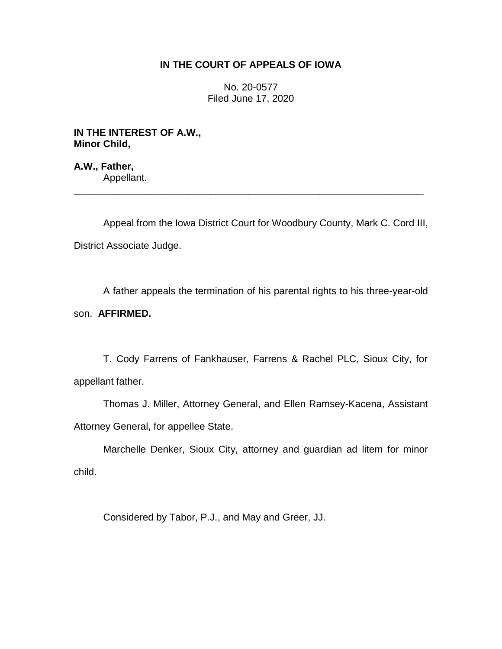## **IN THE COURT OF APPEALS OF IOWA**

No. 20-0577 Filed June 17, 2020

**IN THE INTEREST OF A.W., Minor Child,**

**A.W., Father,** Appellant.

Appeal from the Iowa District Court for Woodbury County, Mark C. Cord III, District Associate Judge.

\_\_\_\_\_\_\_\_\_\_\_\_\_\_\_\_\_\_\_\_\_\_\_\_\_\_\_\_\_\_\_\_\_\_\_\_\_\_\_\_\_\_\_\_\_\_\_\_\_\_\_\_\_\_\_\_\_\_\_\_\_\_\_\_

A father appeals the termination of his parental rights to his three-year-old

son. **AFFIRMED.**

T. Cody Farrens of Fankhauser, Farrens & Rachel PLC, Sioux City, for appellant father.

Thomas J. Miller, Attorney General, and Ellen Ramsey-Kacena, Assistant Attorney General, for appellee State.

Marchelle Denker, Sioux City, attorney and guardian ad litem for minor child.

Considered by Tabor, P.J., and May and Greer, JJ.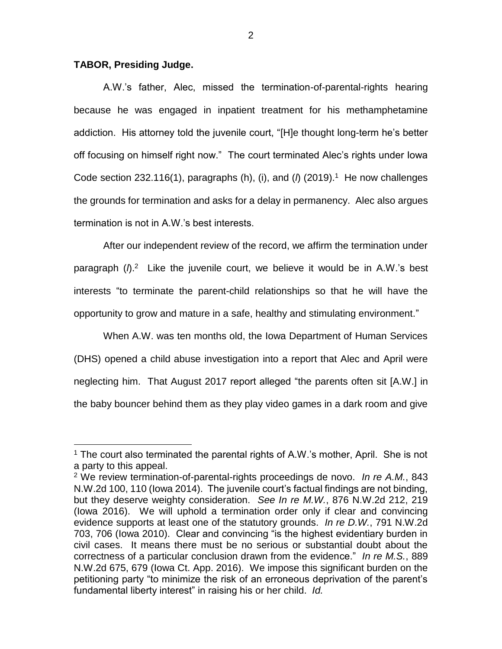## **TABOR, Presiding Judge.**

 $\overline{a}$ 

A.W.'s father, Alec, missed the termination-of-parental-rights hearing because he was engaged in inpatient treatment for his methamphetamine addiction. His attorney told the juvenile court, "[H]e thought long-term he's better off focusing on himself right now." The court terminated Alec's rights under Iowa Code section 232.116(1), paragraphs (h), (i), and ( $\ell$ ) (2019).<sup>1</sup> He now challenges the grounds for termination and asks for a delay in permanency. Alec also argues termination is not in A.W.'s best interests.

After our independent review of the record, we affirm the termination under paragraph ( $\beta$ .<sup>2</sup> Like the juvenile court, we believe it would be in A.W.'s best interests "to terminate the parent-child relationships so that he will have the opportunity to grow and mature in a safe, healthy and stimulating environment."

When A.W. was ten months old, the Iowa Department of Human Services (DHS) opened a child abuse investigation into a report that Alec and April were neglecting him. That August 2017 report alleged "the parents often sit [A.W.] in the baby bouncer behind them as they play video games in a dark room and give

<sup>&</sup>lt;sup>1</sup> The court also terminated the parental rights of A.W.'s mother, April. She is not a party to this appeal.

<sup>2</sup> We review termination-of-parental-rights proceedings de novo. *In re A.M.*, 843 N.W.2d 100, 110 (Iowa 2014). The juvenile court's factual findings are not binding, but they deserve weighty consideration. *See In re M.W.*, 876 N.W.2d 212, 219 (Iowa 2016). We will uphold a termination order only if clear and convincing evidence supports at least one of the statutory grounds. *In re D.W.*, 791 N.W.2d 703, 706 (Iowa 2010). Clear and convincing "is the highest evidentiary burden in civil cases. It means there must be no serious or substantial doubt about the correctness of a particular conclusion drawn from the evidence." *In re M.S.*, 889 N.W.2d 675, 679 (Iowa Ct. App. 2016). We impose this significant burden on the petitioning party "to minimize the risk of an erroneous deprivation of the parent's fundamental liberty interest" in raising his or her child. *Id.*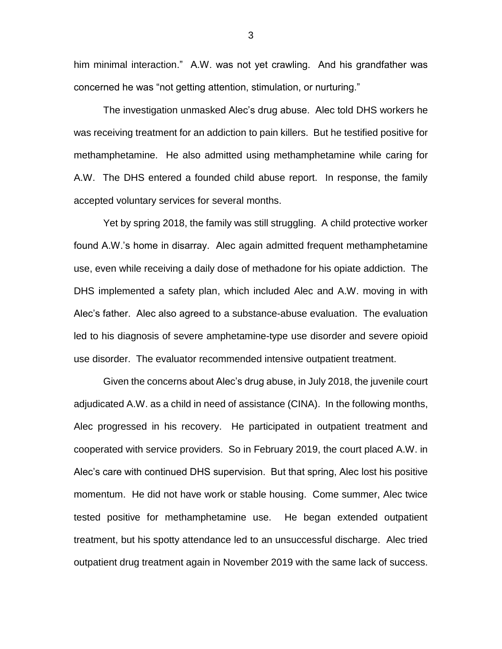him minimal interaction." A.W. was not yet crawling. And his grandfather was concerned he was "not getting attention, stimulation, or nurturing."

The investigation unmasked Alec's drug abuse. Alec told DHS workers he was receiving treatment for an addiction to pain killers. But he testified positive for methamphetamine. He also admitted using methamphetamine while caring for A.W. The DHS entered a founded child abuse report. In response, the family accepted voluntary services for several months.

Yet by spring 2018, the family was still struggling. A child protective worker found A.W.'s home in disarray. Alec again admitted frequent methamphetamine use, even while receiving a daily dose of methadone for his opiate addiction. The DHS implemented a safety plan, which included Alec and A.W. moving in with Alec's father. Alec also agreed to a substance-abuse evaluation. The evaluation led to his diagnosis of severe amphetamine-type use disorder and severe opioid use disorder. The evaluator recommended intensive outpatient treatment.

Given the concerns about Alec's drug abuse, in July 2018, the juvenile court adjudicated A.W. as a child in need of assistance (CINA). In the following months, Alec progressed in his recovery. He participated in outpatient treatment and cooperated with service providers. So in February 2019, the court placed A.W. in Alec's care with continued DHS supervision. But that spring, Alec lost his positive momentum. He did not have work or stable housing. Come summer, Alec twice tested positive for methamphetamine use. He began extended outpatient treatment, but his spotty attendance led to an unsuccessful discharge. Alec tried outpatient drug treatment again in November 2019 with the same lack of success.

3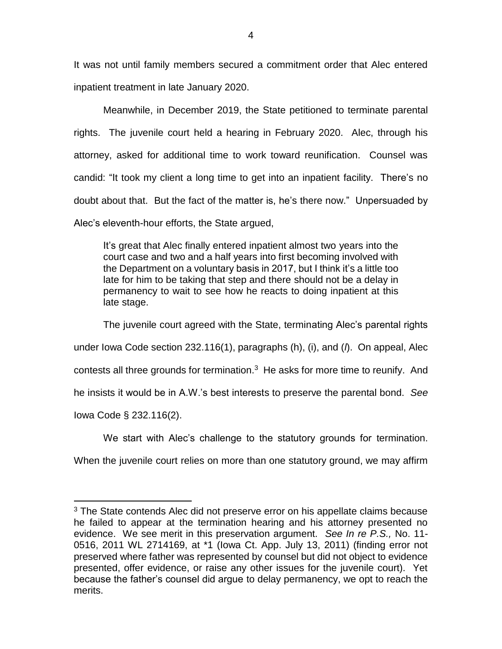It was not until family members secured a commitment order that Alec entered inpatient treatment in late January 2020.

Meanwhile, in December 2019, the State petitioned to terminate parental rights. The juvenile court held a hearing in February 2020. Alec, through his attorney, asked for additional time to work toward reunification. Counsel was candid: "It took my client a long time to get into an inpatient facility. There's no doubt about that. But the fact of the matter is, he's there now." Unpersuaded by Alec's eleventh-hour efforts, the State argued,

It's great that Alec finally entered inpatient almost two years into the court case and two and a half years into first becoming involved with the Department on a voluntary basis in 2017, but I think it's a little too late for him to be taking that step and there should not be a delay in permanency to wait to see how he reacts to doing inpatient at this late stage.

The juvenile court agreed with the State, terminating Alec's parental rights under Iowa Code section 232.116(1), paragraphs (h), (i), and (*l*). On appeal, Alec contests all three grounds for termination.<sup>3</sup> He asks for more time to reunify. And he insists it would be in A.W.'s best interests to preserve the parental bond. *See* Iowa Code § 232.116(2).

We start with Alec's challenge to the statutory grounds for termination.

When the juvenile court relies on more than one statutory ground, we may affirm

 $\overline{a}$ 

 $3$  The State contends Alec did not preserve error on his appellate claims because he failed to appear at the termination hearing and his attorney presented no evidence. We see merit in this preservation argument. *See In re P.S.,* No. 11- 0516, 2011 WL 2714169, at \*1 (Iowa Ct. App. July 13, 2011) (finding error not preserved where father was represented by counsel but did not object to evidence presented, offer evidence, or raise any other issues for the juvenile court). Yet because the father's counsel did argue to delay permanency, we opt to reach the merits.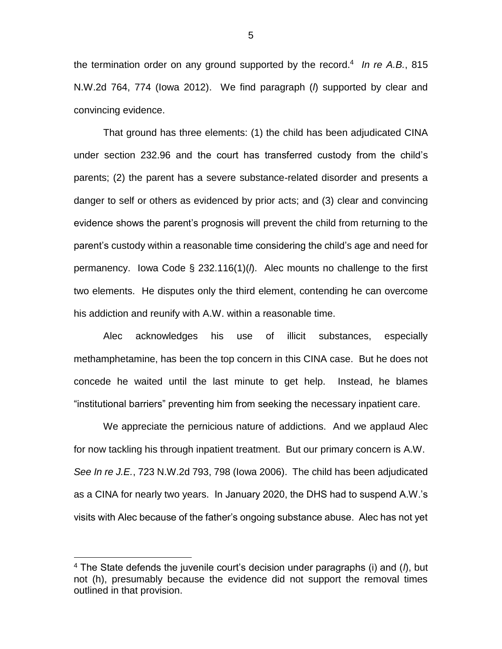the termination order on any ground supported by the record. 4 *In re A.B.*, 815 N.W.2d 764, 774 (Iowa 2012). We find paragraph (*l*) supported by clear and convincing evidence.

That ground has three elements: (1) the child has been adjudicated CINA under section 232.96 and the court has transferred custody from the child's parents; (2) the parent has a severe substance-related disorder and presents a danger to self or others as evidenced by prior acts; and (3) clear and convincing evidence shows the parent's prognosis will prevent the child from returning to the parent's custody within a reasonable time considering the child's age and need for permanency. Iowa Code § 232.116(1)(*l*). Alec mounts no challenge to the first two elements. He disputes only the third element, contending he can overcome his addiction and reunify with A.W. within a reasonable time.

Alec acknowledges his use of illicit substances, especially methamphetamine, has been the top concern in this CINA case. But he does not concede he waited until the last minute to get help. Instead, he blames "institutional barriers" preventing him from seeking the necessary inpatient care.

We appreciate the pernicious nature of addictions. And we applaud Alec for now tackling his through inpatient treatment. But our primary concern is A.W. *See In re J.E.*, 723 N.W.2d 793, 798 (Iowa 2006). The child has been adjudicated as a CINA for nearly two years. In January 2020, the DHS had to suspend A.W.'s visits with Alec because of the father's ongoing substance abuse. Alec has not yet

 $\overline{a}$ 

<sup>4</sup> The State defends the juvenile court's decision under paragraphs (i) and (*l*), but not (h), presumably because the evidence did not support the removal times outlined in that provision.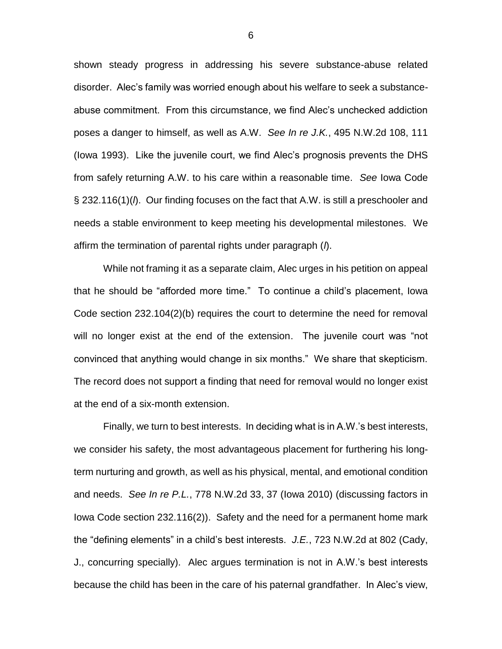shown steady progress in addressing his severe substance-abuse related disorder. Alec's family was worried enough about his welfare to seek a substanceabuse commitment. From this circumstance, we find Alec's unchecked addiction poses a danger to himself, as well as A.W. *See In re J.K.*, 495 N.W.2d 108, 111 (Iowa 1993). Like the juvenile court, we find Alec's prognosis prevents the DHS from safely returning A.W. to his care within a reasonable time. *See* Iowa Code § 232.116(1)(*l*). Our finding focuses on the fact that A.W. is still a preschooler and needs a stable environment to keep meeting his developmental milestones. We affirm the termination of parental rights under paragraph (*l*).

While not framing it as a separate claim, Alec urges in his petition on appeal that he should be "afforded more time." To continue a child's placement, Iowa Code section 232.104(2)(b) requires the court to determine the need for removal will no longer exist at the end of the extension. The juvenile court was "not convinced that anything would change in six months." We share that skepticism. The record does not support a finding that need for removal would no longer exist at the end of a six-month extension.

Finally, we turn to best interests. In deciding what is in A.W.'s best interests, we consider his safety, the most advantageous placement for furthering his longterm nurturing and growth, as well as his physical, mental, and emotional condition and needs. *See In re P.L.*, 778 N.W.2d 33, 37 (Iowa 2010) (discussing factors in Iowa Code section 232.116(2)). Safety and the need for a permanent home mark the "defining elements" in a child's best interests. *J.E.*, 723 N.W.2d at 802 (Cady, J., concurring specially). Alec argues termination is not in A.W.'s best interests because the child has been in the care of his paternal grandfather. In Alec's view,